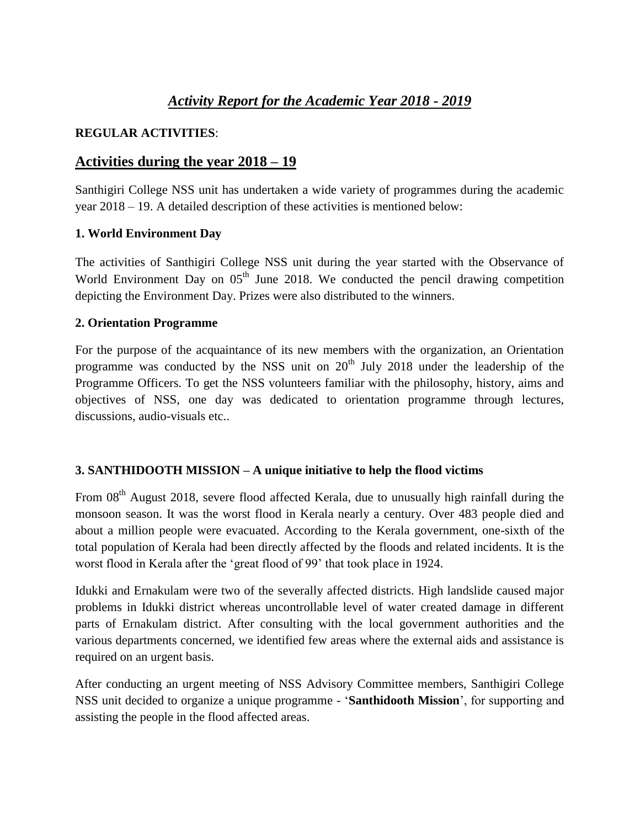# *Activity Report for the Academic Year 2018 - 2019*

## **REGULAR ACTIVITIES**:

# **Activities during the year 2018 – 19**

Santhigiri College NSS unit has undertaken a wide variety of programmes during the academic year 2018 – 19. A detailed description of these activities is mentioned below:

## **1. World Environment Day**

The activities of Santhigiri College NSS unit during the year started with the Observance of World Environment Day on  $0.5<sup>th</sup>$  June 2018. We conducted the pencil drawing competition depicting the Environment Day. Prizes were also distributed to the winners.

## **2. Orientation Programme**

For the purpose of the acquaintance of its new members with the organization, an Orientation programme was conducted by the NSS unit on  $20<sup>th</sup>$  July 2018 under the leadership of the Programme Officers. To get the NSS volunteers familiar with the philosophy, history, aims and objectives of NSS, one day was dedicated to orientation programme through lectures, discussions, audio-visuals etc..

## **3. SANTHIDOOTH MISSION – A unique initiative to help the flood victims**

From 08<sup>th</sup> August 2018, severe flood affected Kerala, due to unusually high rainfall during the monsoon season. It was the worst flood in Kerala nearly a century. Over 483 people died and about a million people were evacuated. According to the Kerala government, one-sixth of the total population of Kerala had been directly affected by the floods and related incidents. It is the worst flood in Kerala after the 'great flood of 99' that took place in 1924.

Idukki and Ernakulam were two of the severally affected districts. High landslide caused major problems in Idukki district whereas uncontrollable level of water created damage in different parts of Ernakulam district. After consulting with the local government authorities and the various departments concerned, we identified few areas where the external aids and assistance is required on an urgent basis.

After conducting an urgent meeting of NSS Advisory Committee members, Santhigiri College NSS unit decided to organize a unique programme - '**Santhidooth Mission**', for supporting and assisting the people in the flood affected areas.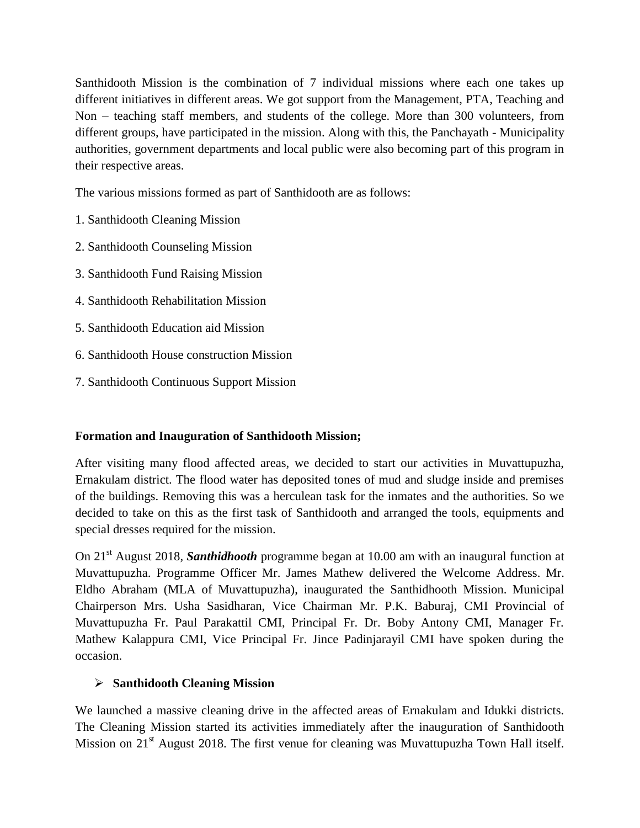Santhidooth Mission is the combination of 7 individual missions where each one takes up different initiatives in different areas. We got support from the Management, PTA, Teaching and Non – teaching staff members, and students of the college. More than 300 volunteers, from different groups, have participated in the mission. Along with this, the Panchayath - Municipality authorities, government departments and local public were also becoming part of this program in their respective areas.

The various missions formed as part of Santhidooth are as follows:

- 1. Santhidooth Cleaning Mission
- 2. Santhidooth Counseling Mission
- 3. Santhidooth Fund Raising Mission
- 4. Santhidooth Rehabilitation Mission
- 5. Santhidooth Education aid Mission
- 6. Santhidooth House construction Mission
- 7. Santhidooth Continuous Support Mission

## **Formation and Inauguration of Santhidooth Mission;**

After visiting many flood affected areas, we decided to start our activities in Muvattupuzha, Ernakulam district. The flood water has deposited tones of mud and sludge inside and premises of the buildings. Removing this was a herculean task for the inmates and the authorities. So we decided to take on this as the first task of Santhidooth and arranged the tools, equipments and special dresses required for the mission.

On 21<sup>st</sup> August 2018, **Santhidhooth** programme began at 10.00 am with an inaugural function at Muvattupuzha. Programme Officer Mr. James Mathew delivered the Welcome Address. Mr. Eldho Abraham (MLA of Muvattupuzha), inaugurated the Santhidhooth Mission. Municipal Chairperson Mrs. Usha Sasidharan, Vice Chairman Mr. P.K. Baburaj, CMI Provincial of Muvattupuzha Fr. Paul Parakattil CMI, Principal Fr. Dr. Boby Antony CMI, Manager Fr. Mathew Kalappura CMI, Vice Principal Fr. Jince Padinjarayil CMI have spoken during the occasion.

## **Santhidooth Cleaning Mission**

We launched a massive cleaning drive in the affected areas of Ernakulam and Idukki districts. The Cleaning Mission started its activities immediately after the inauguration of Santhidooth Mission on 21<sup>st</sup> August 2018. The first venue for cleaning was Muvattupuzha Town Hall itself.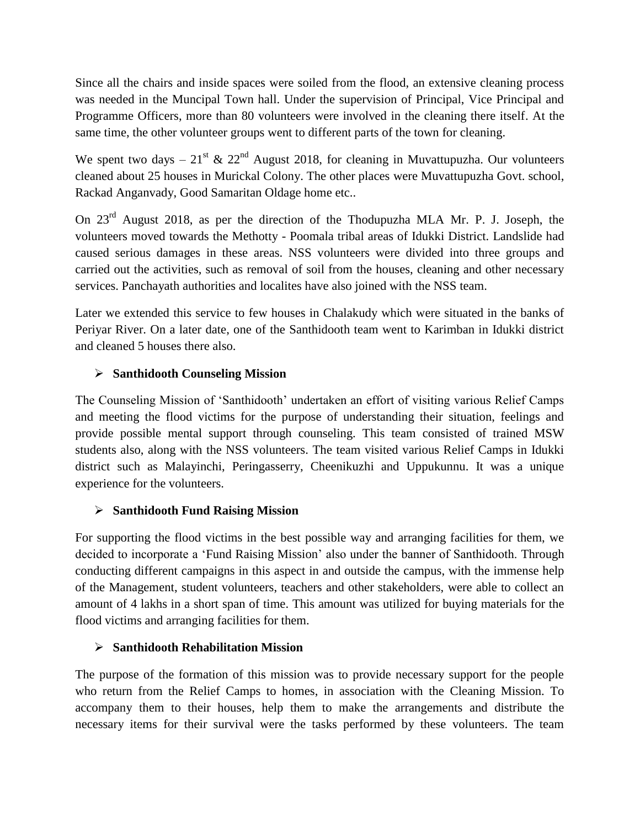Since all the chairs and inside spaces were soiled from the flood, an extensive cleaning process was needed in the Muncipal Town hall. Under the supervision of Principal, Vice Principal and Programme Officers, more than 80 volunteers were involved in the cleaning there itself. At the same time, the other volunteer groups went to different parts of the town for cleaning.

We spent two days –  $21^{st}$  &  $22^{nd}$  August 2018, for cleaning in Muvattupuzha. Our volunteers cleaned about 25 houses in Murickal Colony. The other places were Muvattupuzha Govt. school, Rackad Anganvady, Good Samaritan Oldage home etc..

On 23rd August 2018, as per the direction of the Thodupuzha MLA Mr. P. J. Joseph, the volunteers moved towards the Methotty - Poomala tribal areas of Idukki District. Landslide had caused serious damages in these areas. NSS volunteers were divided into three groups and carried out the activities, such as removal of soil from the houses, cleaning and other necessary services. Panchayath authorities and localites have also joined with the NSS team.

Later we extended this service to few houses in Chalakudy which were situated in the banks of Periyar River. On a later date, one of the Santhidooth team went to Karimban in Idukki district and cleaned 5 houses there also.

## **Santhidooth Counseling Mission**

The Counseling Mission of 'Santhidooth' undertaken an effort of visiting various Relief Camps and meeting the flood victims for the purpose of understanding their situation, feelings and provide possible mental support through counseling. This team consisted of trained MSW students also, along with the NSS volunteers. The team visited various Relief Camps in Idukki district such as Malayinchi, Peringasserry, Cheenikuzhi and Uppukunnu. It was a unique experience for the volunteers.

## **Santhidooth Fund Raising Mission**

For supporting the flood victims in the best possible way and arranging facilities for them, we decided to incorporate a 'Fund Raising Mission' also under the banner of Santhidooth. Through conducting different campaigns in this aspect in and outside the campus, with the immense help of the Management, student volunteers, teachers and other stakeholders, were able to collect an amount of 4 lakhs in a short span of time. This amount was utilized for buying materials for the flood victims and arranging facilities for them.

## **Santhidooth Rehabilitation Mission**

The purpose of the formation of this mission was to provide necessary support for the people who return from the Relief Camps to homes, in association with the Cleaning Mission. To accompany them to their houses, help them to make the arrangements and distribute the necessary items for their survival were the tasks performed by these volunteers. The team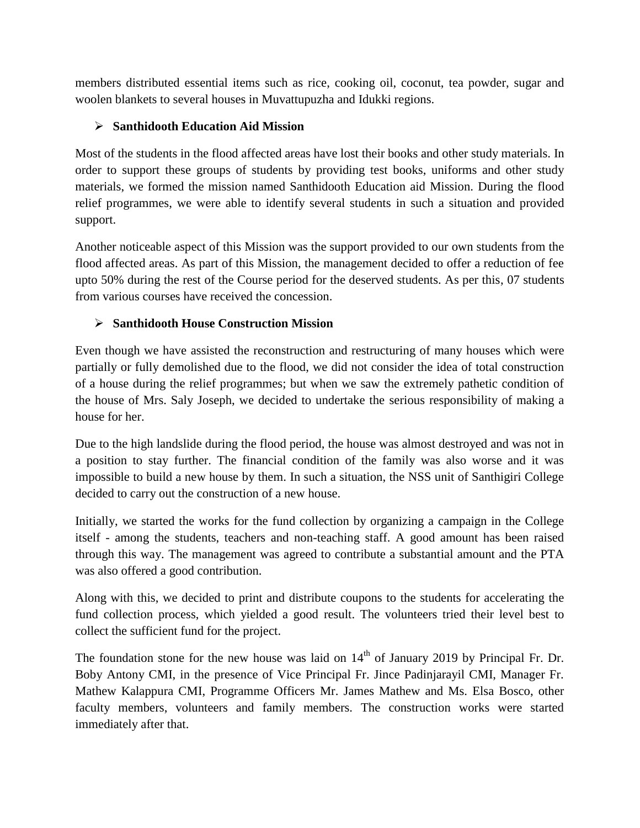members distributed essential items such as rice, cooking oil, coconut, tea powder, sugar and woolen blankets to several houses in Muvattupuzha and Idukki regions.

## **Santhidooth Education Aid Mission**

Most of the students in the flood affected areas have lost their books and other study materials. In order to support these groups of students by providing test books, uniforms and other study materials, we formed the mission named Santhidooth Education aid Mission. During the flood relief programmes, we were able to identify several students in such a situation and provided support.

Another noticeable aspect of this Mission was the support provided to our own students from the flood affected areas. As part of this Mission, the management decided to offer a reduction of fee upto 50% during the rest of the Course period for the deserved students. As per this, 07 students from various courses have received the concession.

## **Santhidooth House Construction Mission**

Even though we have assisted the reconstruction and restructuring of many houses which were partially or fully demolished due to the flood, we did not consider the idea of total construction of a house during the relief programmes; but when we saw the extremely pathetic condition of the house of Mrs. Saly Joseph, we decided to undertake the serious responsibility of making a house for her.

Due to the high landslide during the flood period, the house was almost destroyed and was not in a position to stay further. The financial condition of the family was also worse and it was impossible to build a new house by them. In such a situation, the NSS unit of Santhigiri College decided to carry out the construction of a new house.

Initially, we started the works for the fund collection by organizing a campaign in the College itself - among the students, teachers and non-teaching staff. A good amount has been raised through this way. The management was agreed to contribute a substantial amount and the PTA was also offered a good contribution.

Along with this, we decided to print and distribute coupons to the students for accelerating the fund collection process, which yielded a good result. The volunteers tried their level best to collect the sufficient fund for the project.

The foundation stone for the new house was laid on  $14<sup>th</sup>$  of January 2019 by Principal Fr. Dr. Boby Antony CMI, in the presence of Vice Principal Fr. Jince Padinjarayil CMI, Manager Fr. Mathew Kalappura CMI, Programme Officers Mr. James Mathew and Ms. Elsa Bosco, other faculty members, volunteers and family members. The construction works were started immediately after that.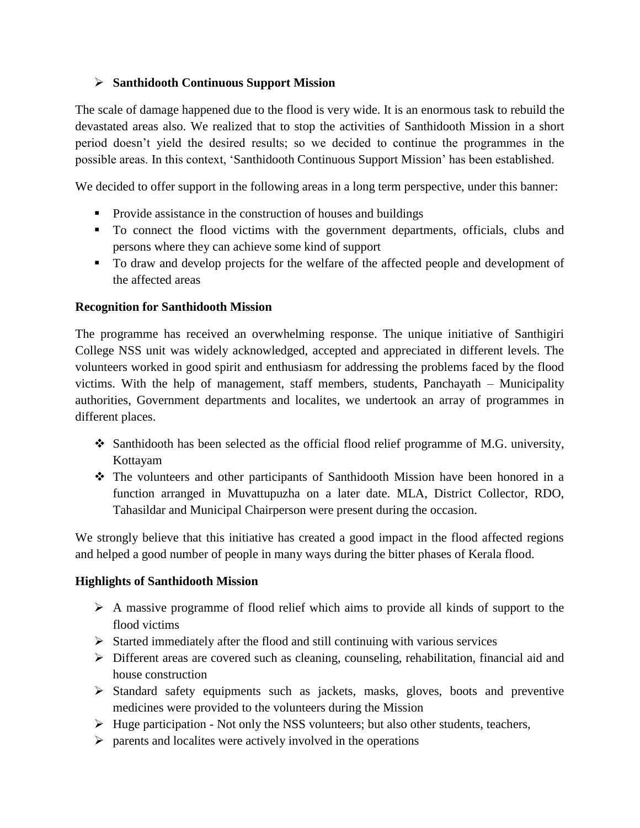## **Santhidooth Continuous Support Mission**

The scale of damage happened due to the flood is very wide. It is an enormous task to rebuild the devastated areas also. We realized that to stop the activities of Santhidooth Mission in a short period doesn't yield the desired results; so we decided to continue the programmes in the possible areas. In this context, 'Santhidooth Continuous Support Mission' has been established.

We decided to offer support in the following areas in a long term perspective, under this banner:

- Provide assistance in the construction of houses and buildings
- To connect the flood victims with the government departments, officials, clubs and persons where they can achieve some kind of support
- To draw and develop projects for the welfare of the affected people and development of the affected areas

## **Recognition for Santhidooth Mission**

The programme has received an overwhelming response. The unique initiative of Santhigiri College NSS unit was widely acknowledged, accepted and appreciated in different levels. The volunteers worked in good spirit and enthusiasm for addressing the problems faced by the flood victims. With the help of management, staff members, students, Panchayath – Municipality authorities, Government departments and localites, we undertook an array of programmes in different places.

- $\div$  Santhidooth has been selected as the official flood relief programme of M.G. university, Kottayam
- The volunteers and other participants of Santhidooth Mission have been honored in a function arranged in Muvattupuzha on a later date. MLA, District Collector, RDO, Tahasildar and Municipal Chairperson were present during the occasion.

We strongly believe that this initiative has created a good impact in the flood affected regions and helped a good number of people in many ways during the bitter phases of Kerala flood.

## **Highlights of Santhidooth Mission**

- $\triangleright$  A massive programme of flood relief which aims to provide all kinds of support to the flood victims
- $\triangleright$  Started immediately after the flood and still continuing with various services
- Different areas are covered such as cleaning, counseling, rehabilitation, financial aid and house construction
- $\triangleright$  Standard safety equipments such as jackets, masks, gloves, boots and preventive medicines were provided to the volunteers during the Mission
- $\triangleright$  Huge participation Not only the NSS volunteers; but also other students, teachers,
- $\triangleright$  parents and localites were actively involved in the operations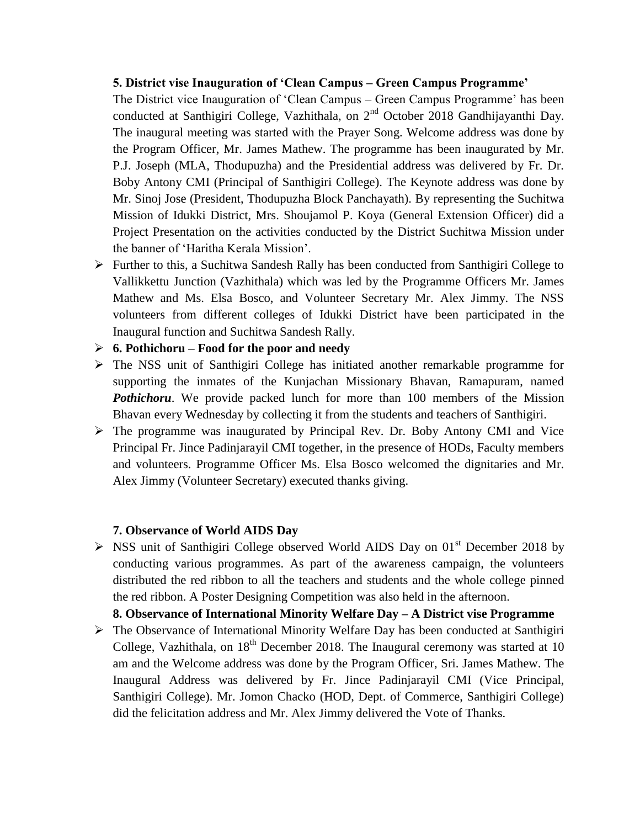#### **5. District vise Inauguration of 'Clean Campus – Green Campus Programme'**

The District vice Inauguration of 'Clean Campus – Green Campus Programme' has been conducted at Santhigiri College, Vazhithala, on  $2<sup>nd</sup>$  October 2018 Gandhijayanthi Day. The inaugural meeting was started with the Prayer Song. Welcome address was done by the Program Officer, Mr. James Mathew. The programme has been inaugurated by Mr. P.J. Joseph (MLA, Thodupuzha) and the Presidential address was delivered by Fr. Dr. Boby Antony CMI (Principal of Santhigiri College). The Keynote address was done by Mr. Sinoj Jose (President, Thodupuzha Block Panchayath). By representing the Suchitwa Mission of Idukki District, Mrs. Shoujamol P. Koya (General Extension Officer) did a Project Presentation on the activities conducted by the District Suchitwa Mission under the banner of 'Haritha Kerala Mission'.

- Further to this, a Suchitwa Sandesh Rally has been conducted from Santhigiri College to Vallikkettu Junction (Vazhithala) which was led by the Programme Officers Mr. James Mathew and Ms. Elsa Bosco, and Volunteer Secretary Mr. Alex Jimmy. The NSS volunteers from different colleges of Idukki District have been participated in the Inaugural function and Suchitwa Sandesh Rally.
- **6. Pothichoru – Food for the poor and needy**
- The NSS unit of Santhigiri College has initiated another remarkable programme for supporting the inmates of the Kunjachan Missionary Bhavan, Ramapuram, named *Pothichoru*. We provide packed lunch for more than 100 members of the Mission Bhavan every Wednesday by collecting it from the students and teachers of Santhigiri.
- The programme was inaugurated by Principal Rev. Dr. Boby Antony CMI and Vice Principal Fr. Jince Padinjarayil CMI together, in the presence of HODs, Faculty members and volunteers. Programme Officer Ms. Elsa Bosco welcomed the dignitaries and Mr. Alex Jimmy (Volunteer Secretary) executed thanks giving.

#### **7. Observance of World AIDS Day**

 $\triangleright$  NSS unit of Santhigiri College observed World AIDS Day on 01<sup>st</sup> December 2018 by conducting various programmes. As part of the awareness campaign, the volunteers distributed the red ribbon to all the teachers and students and the whole college pinned the red ribbon. A Poster Designing Competition was also held in the afternoon.

#### **8. Observance of International Minority Welfare Day – A District vise Programme**

 The Observance of International Minority Welfare Day has been conducted at Santhigiri College, Vazhithala, on  $18<sup>th</sup>$  December 2018. The Inaugural ceremony was started at 10 am and the Welcome address was done by the Program Officer, Sri. James Mathew. The Inaugural Address was delivered by Fr. Jince Padinjarayil CMI (Vice Principal, Santhigiri College). Mr. Jomon Chacko (HOD, Dept. of Commerce, Santhigiri College) did the felicitation address and Mr. Alex Jimmy delivered the Vote of Thanks.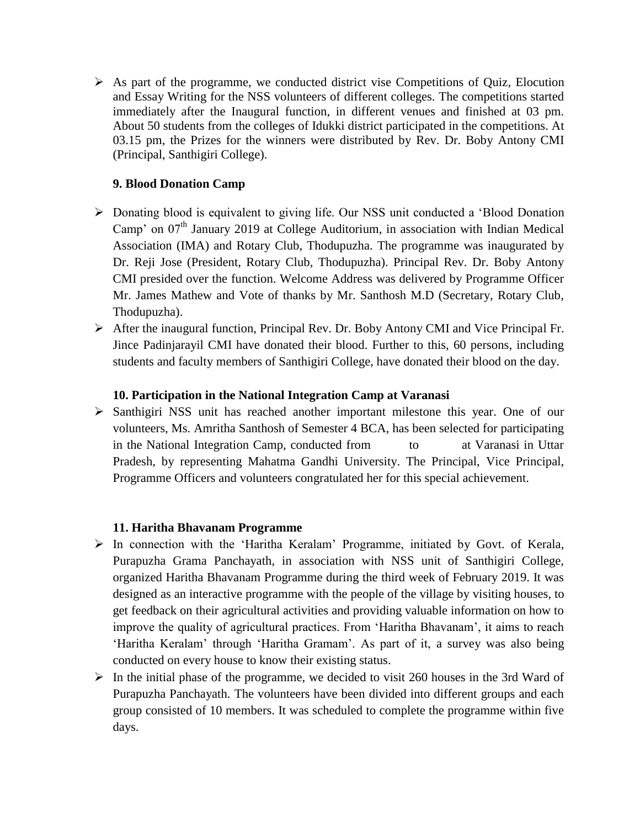$\triangleright$  As part of the programme, we conducted district vise Competitions of Quiz, Elocution and Essay Writing for the NSS volunteers of different colleges. The competitions started immediately after the Inaugural function, in different venues and finished at 03 pm. About 50 students from the colleges of Idukki district participated in the competitions. At 03.15 pm, the Prizes for the winners were distributed by Rev. Dr. Boby Antony CMI (Principal, Santhigiri College).

## **9. Blood Donation Camp**

- Donating blood is equivalent to giving life. Our NSS unit conducted a 'Blood Donation Camp' on  $07<sup>th</sup>$  January 2019 at College Auditorium, in association with Indian Medical Association (IMA) and Rotary Club, Thodupuzha. The programme was inaugurated by Dr. Reji Jose (President, Rotary Club, Thodupuzha). Principal Rev. Dr. Boby Antony CMI presided over the function. Welcome Address was delivered by Programme Officer Mr. James Mathew and Vote of thanks by Mr. Santhosh M.D (Secretary, Rotary Club, Thodupuzha).
- After the inaugural function, Principal Rev. Dr. Boby Antony CMI and Vice Principal Fr. Jince Padinjarayil CMI have donated their blood. Further to this, 60 persons, including students and faculty members of Santhigiri College, have donated their blood on the day.

## **10. Participation in the National Integration Camp at Varanasi**

 $\triangleright$  Santhigiri NSS unit has reached another important milestone this year. One of our volunteers, Ms. Amritha Santhosh of Semester 4 BCA, has been selected for participating in the National Integration Camp, conducted from to at Varanasi in Uttar Pradesh, by representing Mahatma Gandhi University. The Principal, Vice Principal, Programme Officers and volunteers congratulated her for this special achievement.

## **11. Haritha Bhavanam Programme**

- $\triangleright$  In connection with the 'Haritha Keralam' Programme, initiated by Govt. of Kerala, Purapuzha Grama Panchayath, in association with NSS unit of Santhigiri College, organized Haritha Bhavanam Programme during the third week of February 2019. It was designed as an interactive programme with the people of the village by visiting houses, to get feedback on their agricultural activities and providing valuable information on how to improve the quality of agricultural practices. From 'Haritha Bhavanam', it aims to reach 'Haritha Keralam' through 'Haritha Gramam'. As part of it, a survey was also being conducted on every house to know their existing status.
- $\triangleright$  In the initial phase of the programme, we decided to visit 260 houses in the 3rd Ward of Purapuzha Panchayath. The volunteers have been divided into different groups and each group consisted of 10 members. It was scheduled to complete the programme within five days.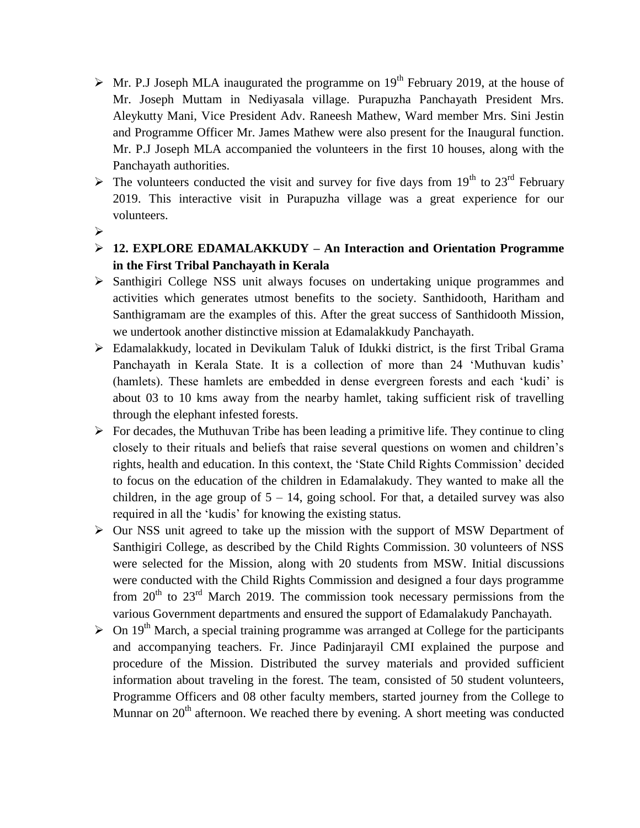- $\triangleright$  Mr. P.J Joseph MLA inaugurated the programme on 19<sup>th</sup> February 2019, at the house of Mr. Joseph Muttam in Nediyasala village. Purapuzha Panchayath President Mrs. Aleykutty Mani, Vice President Adv. Raneesh Mathew, Ward member Mrs. Sini Jestin and Programme Officer Mr. James Mathew were also present for the Inaugural function. Mr. P.J Joseph MLA accompanied the volunteers in the first 10 houses, along with the Panchayath authorities.
- $\triangleright$  The volunteers conducted the visit and survey for five days from 19<sup>th</sup> to 23<sup>rd</sup> February 2019. This interactive visit in Purapuzha village was a great experience for our volunteers.
- $\blacktriangleright$
- **12. EXPLORE EDAMALAKKUDY – An Interaction and Orientation Programme in the First Tribal Panchayath in Kerala**
- $\triangleright$  Santhigiri College NSS unit always focuses on undertaking unique programmes and activities which generates utmost benefits to the society. Santhidooth, Haritham and Santhigramam are the examples of this. After the great success of Santhidooth Mission, we undertook another distinctive mission at Edamalakkudy Panchayath.
- Edamalakkudy, located in Devikulam Taluk of Idukki district, is the first Tribal Grama Panchayath in Kerala State. It is a collection of more than 24 'Muthuvan kudis' (hamlets). These hamlets are embedded in dense evergreen forests and each 'kudi' is about 03 to 10 kms away from the nearby hamlet, taking sufficient risk of travelling through the elephant infested forests.
- $\triangleright$  For decades, the Muthuvan Tribe has been leading a primitive life. They continue to cling closely to their rituals and beliefs that raise several questions on women and children's rights, health and education. In this context, the 'State Child Rights Commission' decided to focus on the education of the children in Edamalakudy. They wanted to make all the children, in the age group of  $5 - 14$ , going school. For that, a detailed survey was also required in all the 'kudis' for knowing the existing status.
- $\triangleright$  Our NSS unit agreed to take up the mission with the support of MSW Department of Santhigiri College, as described by the Child Rights Commission. 30 volunteers of NSS were selected for the Mission, along with 20 students from MSW. Initial discussions were conducted with the Child Rights Commission and designed a four days programme from  $20<sup>th</sup>$  to  $23<sup>rd</sup>$  March 2019. The commission took necessary permissions from the various Government departments and ensured the support of Edamalakudy Panchayath.
- $\geq$  On 19<sup>th</sup> March, a special training programme was arranged at College for the participants and accompanying teachers. Fr. Jince Padinjarayil CMI explained the purpose and procedure of the Mission. Distributed the survey materials and provided sufficient information about traveling in the forest. The team, consisted of 50 student volunteers, Programme Officers and 08 other faculty members, started journey from the College to Munnar on  $20<sup>th</sup>$  afternoon. We reached there by evening. A short meeting was conducted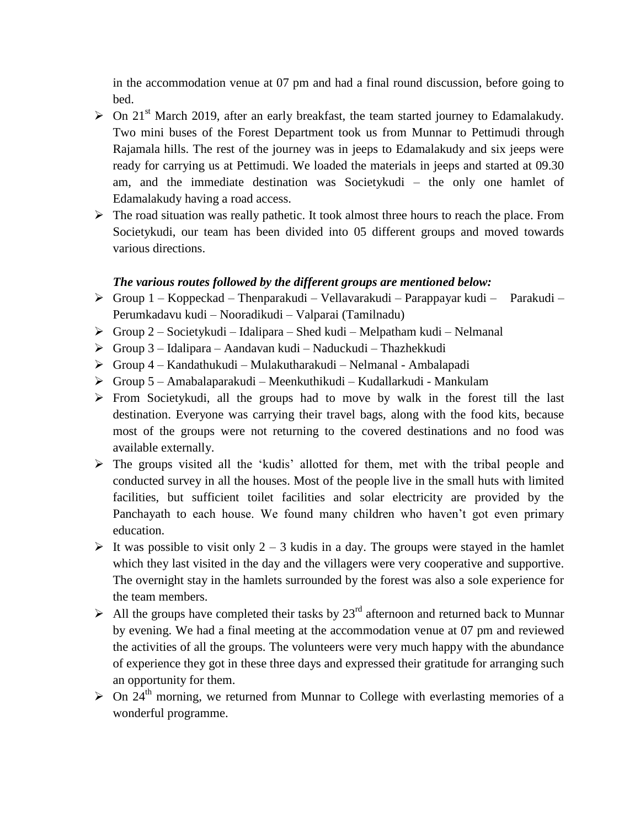in the accommodation venue at 07 pm and had a final round discussion, before going to bed.

- $\triangleright$  On 21<sup>st</sup> March 2019, after an early breakfast, the team started journey to Edamalakudy. Two mini buses of the Forest Department took us from Munnar to Pettimudi through Rajamala hills. The rest of the journey was in jeeps to Edamalakudy and six jeeps were ready for carrying us at Pettimudi. We loaded the materials in jeeps and started at 09.30 am, and the immediate destination was Societykudi – the only one hamlet of Edamalakudy having a road access.
- $\triangleright$  The road situation was really pathetic. It took almost three hours to reach the place. From Societykudi, our team has been divided into 05 different groups and moved towards various directions.

#### *The various routes followed by the different groups are mentioned below:*

- $\triangleright$  Group 1 Koppeckad Thenparakudi Vellavarakudi Parappayar kudi Parakudi Perumkadavu kudi – Nooradikudi – Valparai (Tamilnadu)
- $\triangleright$  Group 2 Societykudi Idalipara Shed kudi Melpatham kudi Nelmanal
- Group 3 Idalipara Aandavan kudi Naduckudi Thazhekkudi
- Group 4 Kandathukudi Mulakutharakudi Nelmanal Ambalapadi
- Group 5 Amabalaparakudi Meenkuthikudi Kudallarkudi Mankulam
- $\triangleright$  From Societykudi, all the groups had to move by walk in the forest till the last destination. Everyone was carrying their travel bags, along with the food kits, because most of the groups were not returning to the covered destinations and no food was available externally.
- The groups visited all the 'kudis' allotted for them, met with the tribal people and conducted survey in all the houses. Most of the people live in the small huts with limited facilities, but sufficient toilet facilities and solar electricity are provided by the Panchayath to each house. We found many children who haven't got even primary education.
- It was possible to visit only  $2 3$  kudis in a day. The groups were stayed in the hamlet which they last visited in the day and the villagers were very cooperative and supportive. The overnight stay in the hamlets surrounded by the forest was also a sole experience for the team members.
- All the groups have completed their tasks by  $23<sup>rd</sup>$  afternoon and returned back to Munnar by evening. We had a final meeting at the accommodation venue at 07 pm and reviewed the activities of all the groups. The volunteers were very much happy with the abundance of experience they got in these three days and expressed their gratitude for arranging such an opportunity for them.
- $\triangleright$  On 24<sup>th</sup> morning, we returned from Munnar to College with everlasting memories of a wonderful programme.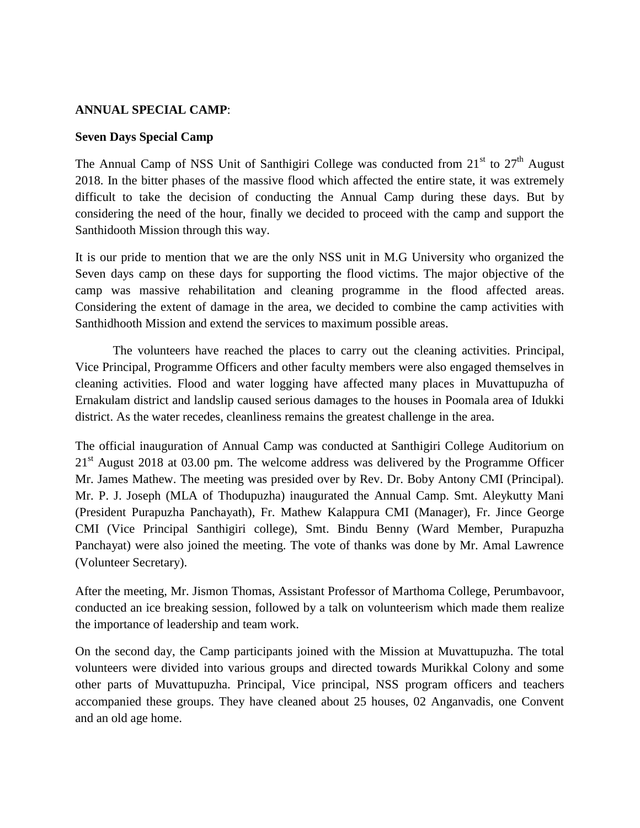### **ANNUAL SPECIAL CAMP**:

#### **Seven Days Special Camp**

The Annual Camp of NSS Unit of Santhigiri College was conducted from  $21<sup>st</sup>$  to  $27<sup>th</sup>$  August 2018. In the bitter phases of the massive flood which affected the entire state, it was extremely difficult to take the decision of conducting the Annual Camp during these days. But by considering the need of the hour, finally we decided to proceed with the camp and support the Santhidooth Mission through this way.

It is our pride to mention that we are the only NSS unit in M.G University who organized the Seven days camp on these days for supporting the flood victims. The major objective of the camp was massive rehabilitation and cleaning programme in the flood affected areas. Considering the extent of damage in the area, we decided to combine the camp activities with Santhidhooth Mission and extend the services to maximum possible areas.

The volunteers have reached the places to carry out the cleaning activities. Principal, Vice Principal, Programme Officers and other faculty members were also engaged themselves in cleaning activities. Flood and water logging have affected many places in Muvattupuzha of Ernakulam district and landslip caused serious damages to the houses in Poomala area of Idukki district. As the water recedes, cleanliness remains the greatest challenge in the area.

The official inauguration of Annual Camp was conducted at Santhigiri College Auditorium on  $21<sup>st</sup>$  August 2018 at 03.00 pm. The welcome address was delivered by the Programme Officer Mr. James Mathew. The meeting was presided over by Rev. Dr. Boby Antony CMI (Principal). Mr. P. J. Joseph (MLA of Thodupuzha) inaugurated the Annual Camp. Smt. Aleykutty Mani (President Purapuzha Panchayath), Fr. Mathew Kalappura CMI (Manager), Fr. Jince George CMI (Vice Principal Santhigiri college), Smt. Bindu Benny (Ward Member, Purapuzha Panchayat) were also joined the meeting. The vote of thanks was done by Mr. Amal Lawrence (Volunteer Secretary).

After the meeting, Mr. Jismon Thomas, Assistant Professor of Marthoma College, Perumbavoor, conducted an ice breaking session, followed by a talk on volunteerism which made them realize the importance of leadership and team work.

On the second day, the Camp participants joined with the Mission at Muvattupuzha. The total volunteers were divided into various groups and directed towards Murikkal Colony and some other parts of Muvattupuzha. Principal, Vice principal, NSS program officers and teachers accompanied these groups. They have cleaned about 25 houses, 02 Anganvadis, one Convent and an old age home.